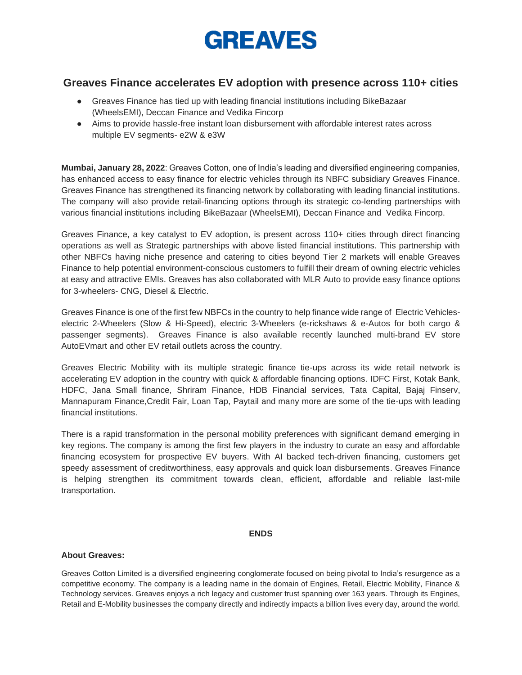

## **Greaves Finance accelerates EV adoption with presence across 110+ cities**

- Greaves Finance has tied up with leading financial institutions including BikeBazaar (WheelsEMI), Deccan Finance and Vedika Fincorp
- Aims to provide hassle-free instant loan disbursement with affordable interest rates across multiple EV segments- e2W & e3W

**Mumbai, January 28, 2022**: Greaves Cotton, one of India's leading and diversified engineering companies, has enhanced access to easy finance for electric vehicles through its NBFC subsidiary Greaves Finance. Greaves Finance has strengthened its financing network by collaborating with leading financial institutions. The company will also provide retail-financing options through its strategic co-lending partnerships with various financial institutions including BikeBazaar (WheelsEMI), Deccan Finance and Vedika Fincorp.

Greaves Finance, a key catalyst to EV adoption, is present across 110+ cities through direct financing operations as well as Strategic partnerships with above listed financial institutions. This partnership with other NBFCs having niche presence and catering to cities beyond Tier 2 markets will enable Greaves Finance to help potential environment-conscious customers to fulfill their dream of owning electric vehicles at easy and attractive EMIs. Greaves has also collaborated with MLR Auto to provide easy finance options for 3-wheelers- CNG, Diesel & Electric.

Greaves Finance is one of the first few NBFCs in the country to help finance wide range of Electric Vehicleselectric 2-Wheelers (Slow & Hi-Speed), electric 3-Wheelers (e-rickshaws & e-Autos for both cargo & passenger segments). Greaves Finance is also available recently launched multi-brand EV store AutoEVmart and other EV retail outlets across the country.

Greaves Electric Mobility with its multiple strategic finance tie-ups across its wide retail network is accelerating EV adoption in the country with quick & affordable financing options. IDFC First, Kotak Bank, HDFC, Jana Small finance, Shriram Finance, HDB Financial services, Tata Capital, Bajaj Finserv, Mannapuram Finance,Credit Fair, Loan Tap, Paytail and many more are some of the tie-ups with leading financial institutions.

There is a rapid transformation in the personal mobility preferences with significant demand emerging in key regions. The company is among the first few players in the industry to curate an easy and affordable financing ecosystem for prospective EV buyers. With AI backed tech-driven financing, customers get speedy assessment of creditworthiness, easy approvals and quick loan disbursements. Greaves Finance is helping strengthen its commitment towards clean, efficient, affordable and reliable last-mile transportation.

## **ENDS**

## **About Greaves:**

Greaves Cotton Limited is a diversified engineering conglomerate focused on being pivotal to India's resurgence as a competitive economy. The company is a leading name in the domain of Engines, Retail, Electric Mobility, Finance & Technology services. Greaves enjoys a rich legacy and customer trust spanning over 163 years. Through its Engines, Retail and E-Mobility businesses the company directly and indirectly impacts a billion lives every day, around the world.